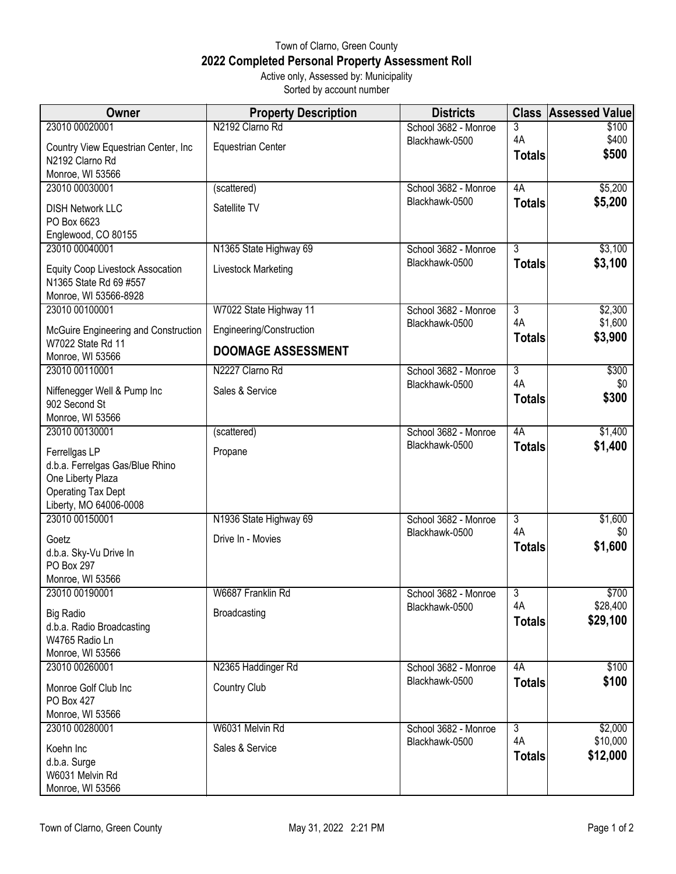## Town of Clarno, Green County **2022 Completed Personal Property Assessment Roll** Active only, Assessed by: Municipality

Sorted by account number

| Owner                                                                                       | <b>Property Description</b>                 | <b>Districts</b>                       | <b>Class</b>                          | <b>Assessed Value</b>     |
|---------------------------------------------------------------------------------------------|---------------------------------------------|----------------------------------------|---------------------------------------|---------------------------|
| 23010 00020001                                                                              | N2192 Clarno Rd                             | School 3682 - Monroe                   | 3                                     | \$100                     |
| Country View Equestrian Center, Inc<br>N2192 Clarno Rd                                      | <b>Equestrian Center</b>                    | Blackhawk-0500                         | 4A<br><b>Totals</b>                   | \$400<br>\$500            |
| Monroe, WI 53566                                                                            |                                             |                                        |                                       |                           |
| 23010 00030001                                                                              | (scattered)                                 | School 3682 - Monroe                   | 4A                                    | \$5,200                   |
| <b>DISH Network LLC</b><br>PO Box 6623                                                      | Satellite TV                                | Blackhawk-0500                         | <b>Totals</b>                         | \$5,200                   |
| Englewood, CO 80155                                                                         |                                             |                                        |                                       |                           |
| 23010 00040001                                                                              | N1365 State Highway 69                      | School 3682 - Monroe                   | $\overline{3}$                        | \$3,100                   |
| <b>Equity Coop Livestock Assocation</b><br>N1365 State Rd 69 #557<br>Monroe, WI 53566-8928  | Livestock Marketing                         | Blackhawk-0500                         | <b>Totals</b>                         | \$3,100                   |
| 23010 00100001                                                                              | W7022 State Highway 11                      | School 3682 - Monroe                   | $\overline{3}$                        | \$2,300                   |
| McGuire Engineering and Construction                                                        | Engineering/Construction                    | Blackhawk-0500                         | 4A                                    | \$1,600                   |
| W7022 State Rd 11                                                                           | <b>DOOMAGE ASSESSMENT</b>                   |                                        | <b>Totals</b>                         | \$3,900                   |
| Monroe, WI 53566                                                                            |                                             |                                        |                                       |                           |
| 23010 00110001                                                                              | N2227 Clarno Rd                             | School 3682 - Monroe                   | $\overline{3}$<br>4A                  | \$300                     |
| Niffenegger Well & Pump Inc<br>902 Second St                                                | Sales & Service                             | Blackhawk-0500                         | <b>Totals</b>                         | \$0<br>\$300              |
| Monroe, WI 53566                                                                            |                                             |                                        |                                       |                           |
| 23010 00130001                                                                              | (scattered)                                 | School 3682 - Monroe                   | 4A                                    | \$1,400                   |
| Ferrellgas LP<br>d.b.a. Ferrelgas Gas/Blue Rhino<br>One Liberty Plaza<br>Operating Tax Dept | Propane                                     | Blackhawk-0500                         | <b>Totals</b>                         | \$1,400                   |
| Liberty, MO 64006-0008                                                                      |                                             |                                        |                                       |                           |
| 23010 00150001<br>Goetz<br>d.b.a. Sky-Vu Drive In<br>PO Box 297<br>Monroe, WI 53566         | N1936 State Highway 69<br>Drive In - Movies | School 3682 - Monroe<br>Blackhawk-0500 | $\overline{3}$<br>4A<br><b>Totals</b> | \$1,600<br>\$0<br>\$1,600 |
| 23010 00190001                                                                              | W6687 Franklin Rd                           | School 3682 - Monroe                   | 3                                     | \$700                     |
| <b>Big Radio</b><br>d.b.a. Radio Broadcasting<br>W4765 Radio Ln<br>Monroe, WI 53566         | <b>Broadcasting</b>                         | Blackhawk-0500                         | 4A<br><b>Totals</b>                   | \$28,400<br>\$29,100      |
| 23010 00260001                                                                              | N2365 Haddinger Rd                          | School 3682 - Monroe                   | 4A                                    | \$100                     |
| Monroe Golf Club Inc<br><b>PO Box 427</b><br>Monroe, WI 53566                               | <b>Country Club</b>                         | Blackhawk-0500                         | <b>Totals</b>                         | \$100                     |
| 23010 00280001                                                                              | W6031 Melvin Rd                             | School 3682 - Monroe                   | $\overline{3}$                        | \$2,000                   |
| Koehn Inc<br>d.b.a. Surge<br>W6031 Melvin Rd<br>Monroe, WI 53566                            | Sales & Service                             | Blackhawk-0500                         | 4A<br><b>Totals</b>                   | \$10,000<br>\$12,000      |